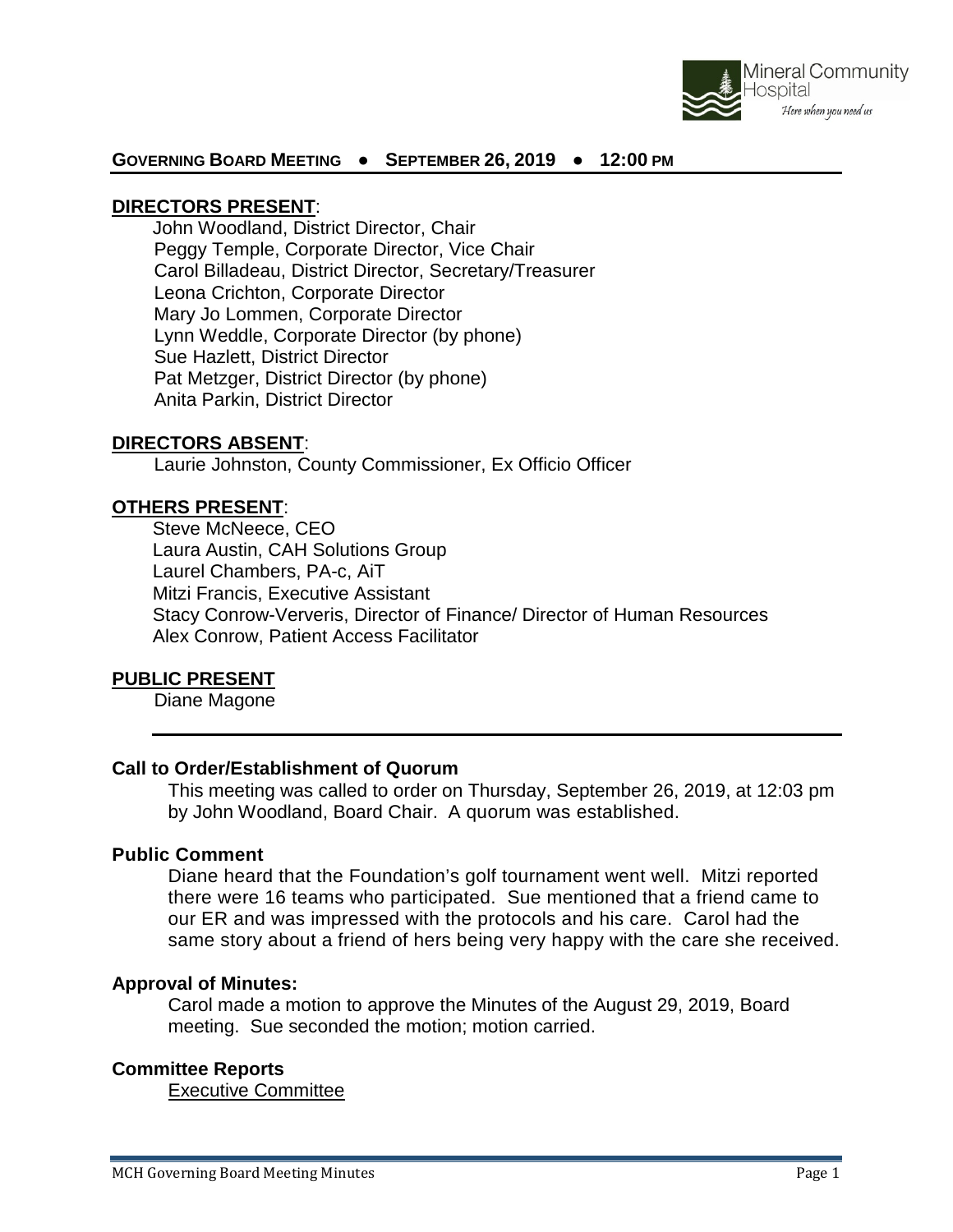

## **GOVERNING BOARD MEETING ● SEPTEMBER 26, 2019 ● 12:00 PM**

#### **DIRECTORS PRESENT**:

John Woodland, District Director, Chair Peggy Temple, Corporate Director, Vice Chair Carol Billadeau, District Director, Secretary/Treasurer Leona Crichton, Corporate Director Mary Jo Lommen, Corporate Director Lynn Weddle, Corporate Director (by phone) Sue Hazlett, District Director Pat Metzger, District Director (by phone) Anita Parkin, District Director

#### **DIRECTORS ABSENT**:

Laurie Johnston, County Commissioner, Ex Officio Officer

## **OTHERS PRESENT**:

Steve McNeece, CEO Laura Austin, CAH Solutions Group Laurel Chambers, PA-c, AiT Mitzi Francis, Executive Assistant Stacy Conrow-Ververis, Director of Finance/ Director of Human Resources Alex Conrow, Patient Access Facilitator

#### **PUBLIC PRESENT**

Diane Magone

### **Call to Order/Establishment of Quorum**

This meeting was called to order on Thursday, September 26, 2019, at 12:03 pm by John Woodland, Board Chair. A quorum was established.

#### **Public Comment**

Diane heard that the Foundation's golf tournament went well. Mitzi reported there were 16 teams who participated. Sue mentioned that a friend came to our ER and was impressed with the protocols and his care. Carol had the same story about a friend of hers being very happy with the care she received.

#### **Approval of Minutes:**

Carol made a motion to approve the Minutes of the August 29, 2019, Board meeting. Sue seconded the motion; motion carried.

#### **Committee Reports**

Executive Committee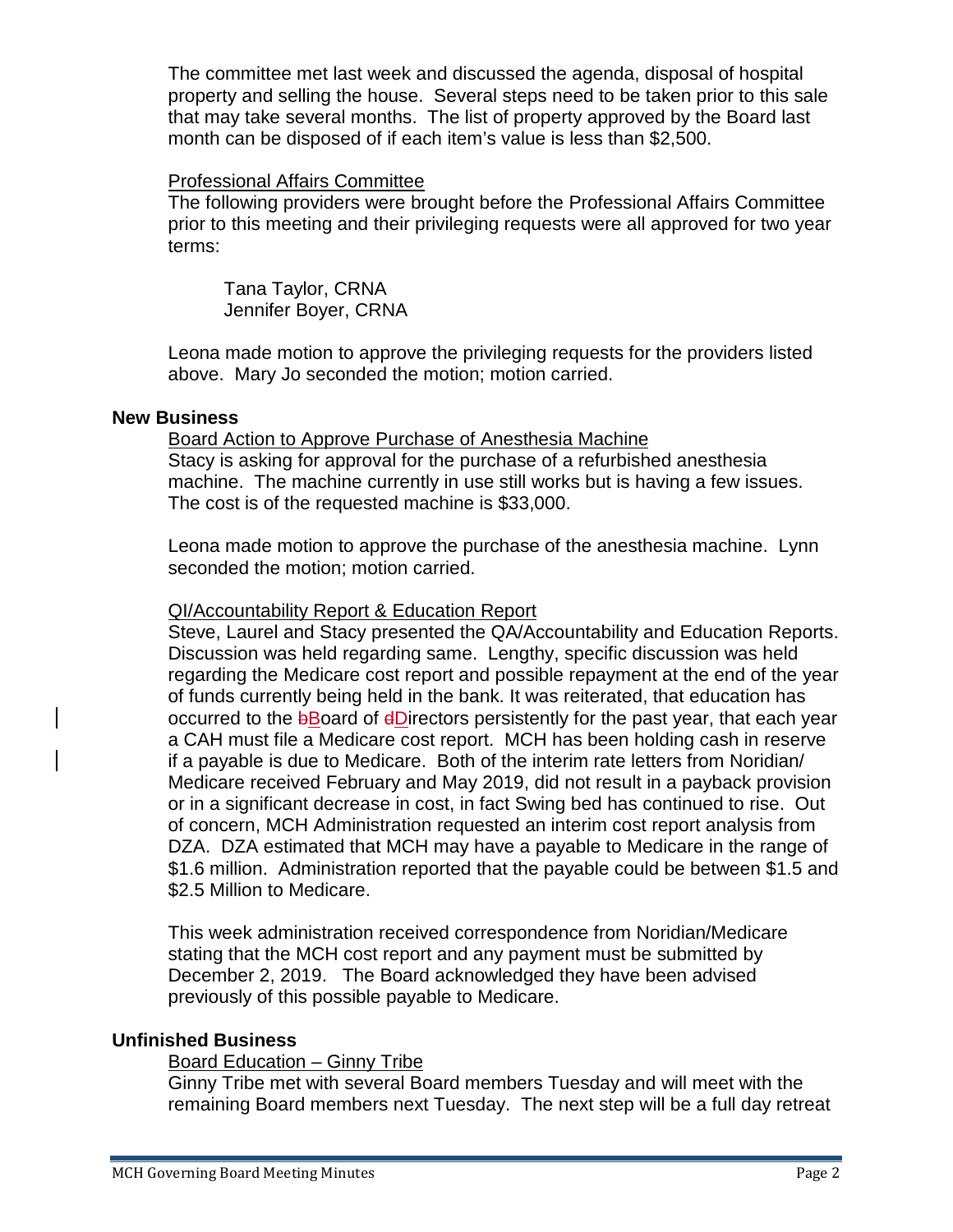The committee met last week and discussed the agenda, disposal of hospital property and selling the house. Several steps need to be taken prior to this sale that may take several months. The list of property approved by the Board last month can be disposed of if each item's value is less than \$2,500.

## Professional Affairs Committee

The following providers were brought before the Professional Affairs Committee prior to this meeting and their privileging requests were all approved for two year terms:

Tana Taylor, CRNA Jennifer Boyer, CRNA

Leona made motion to approve the privileging requests for the providers listed above. Mary Jo seconded the motion; motion carried.

## **New Business**

Board Action to Approve Purchase of Anesthesia Machine Stacy is asking for approval for the purchase of a refurbished anesthesia machine. The machine currently in use still works but is having a few issues. The cost is of the requested machine is \$33,000.

Leona made motion to approve the purchase of the anesthesia machine. Lynn seconded the motion; motion carried.

## QI/Accountability Report & Education Report

Steve, Laurel and Stacy presented the QA/Accountability and Education Reports. Discussion was held regarding same. Lengthy, specific discussion was held regarding the Medicare cost report and possible repayment at the end of the year of funds currently being held in the bank. It was reiterated, that education has occurred to the bBoard of dDirectors persistently for the past year, that each year a CAH must file a Medicare cost report. MCH has been holding cash in reserve if a payable is due to Medicare. Both of the interim rate letters from Noridian/ Medicare received February and May 2019, did not result in a payback provision or in a significant decrease in cost, in fact Swing bed has continued to rise. Out of concern, MCH Administration requested an interim cost report analysis from DZA. DZA estimated that MCH may have a payable to Medicare in the range of \$1.6 million. Administration reported that the payable could be between \$1.5 and \$2.5 Million to Medicare.

This week administration received correspondence from Noridian/Medicare stating that the MCH cost report and any payment must be submitted by December 2, 2019. The Board acknowledged they have been advised previously of this possible payable to Medicare.

## **Unfinished Business**

## Board Education – Ginny Tribe

Ginny Tribe met with several Board members Tuesday and will meet with the remaining Board members next Tuesday. The next step will be a full day retreat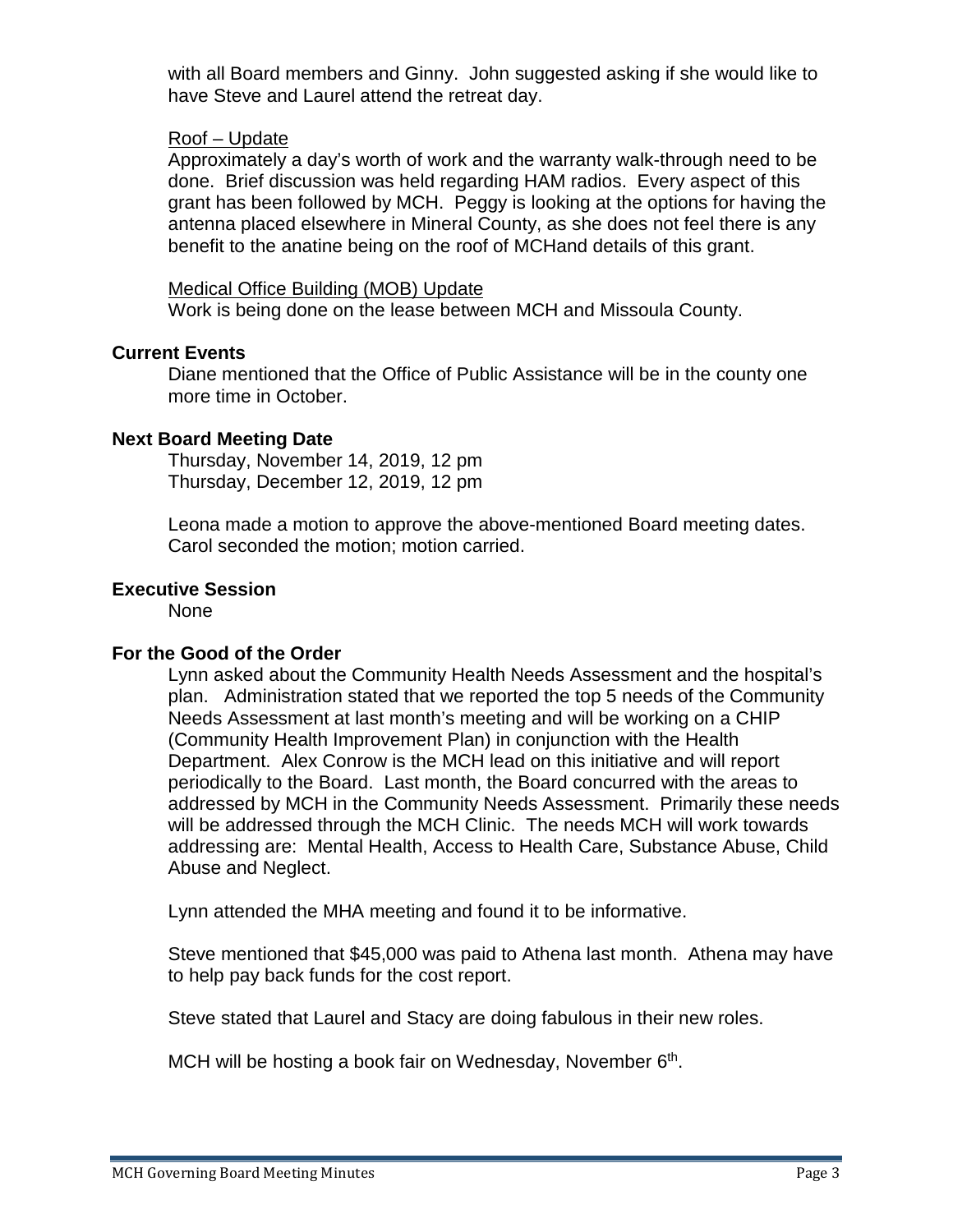with all Board members and Ginny. John suggested asking if she would like to have Steve and Laurel attend the retreat day.

#### Roof – Update

Approximately a day's worth of work and the warranty walk-through need to be done. Brief discussion was held regarding HAM radios. Every aspect of this grant has been followed by MCH. Peggy is looking at the options for having the antenna placed elsewhere in Mineral County, as she does not feel there is any benefit to the anatine being on the roof of MCHand details of this grant.

Medical Office Building (MOB) Update Work is being done on the lease between MCH and Missoula County.

## **Current Events**

Diane mentioned that the Office of Public Assistance will be in the county one more time in October.

## **Next Board Meeting Date**

Thursday, November 14, 2019, 12 pm Thursday, December 12, 2019, 12 pm

Leona made a motion to approve the above-mentioned Board meeting dates. Carol seconded the motion; motion carried.

## **Executive Session**

None

## **For the Good of the Order**

Lynn asked about the Community Health Needs Assessment and the hospital's plan. Administration stated that we reported the top 5 needs of the Community Needs Assessment at last month's meeting and will be working on a CHIP (Community Health Improvement Plan) in conjunction with the Health Department. Alex Conrow is the MCH lead on this initiative and will report periodically to the Board. Last month, the Board concurred with the areas to addressed by MCH in the Community Needs Assessment. Primarily these needs will be addressed through the MCH Clinic. The needs MCH will work towards addressing are: Mental Health, Access to Health Care, Substance Abuse, Child Abuse and Neglect.

Lynn attended the MHA meeting and found it to be informative.

Steve mentioned that \$45,000 was paid to Athena last month. Athena may have to help pay back funds for the cost report.

Steve stated that Laurel and Stacy are doing fabulous in their new roles.

MCH will be hosting a book fair on Wednesday, November  $6<sup>th</sup>$ .